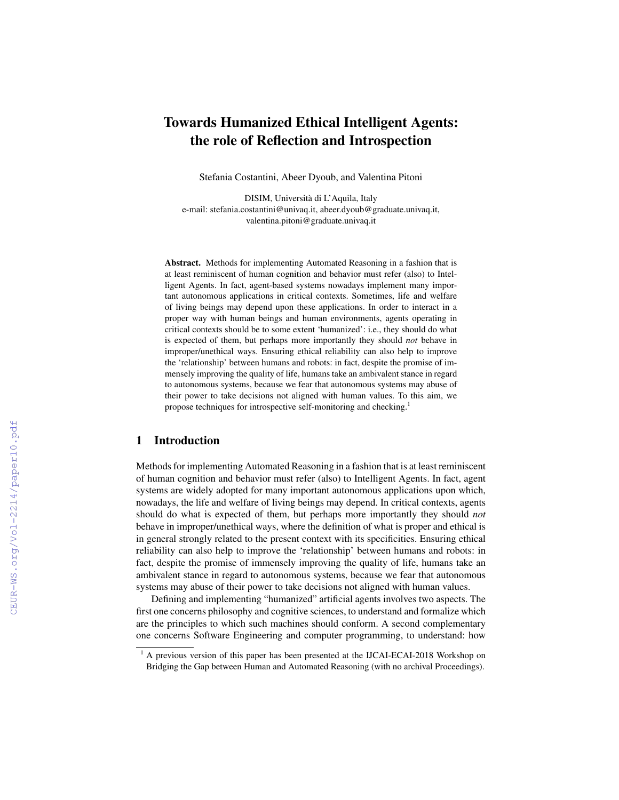# Towards Humanized Ethical Intelligent Agents: the role of Reflection and Introspection

Stefania Costantini, Abeer Dyoub, and Valentina Pitoni

DISIM, Universita di L'Aquila, Italy ` e-mail: stefania.costantini@univaq.it, abeer.dyoub@graduate.univaq.it, valentina.pitoni@graduate.univaq.it

Abstract. Methods for implementing Automated Reasoning in a fashion that is at least reminiscent of human cognition and behavior must refer (also) to Intelligent Agents. In fact, agent-based systems nowadays implement many important autonomous applications in critical contexts. Sometimes, life and welfare of living beings may depend upon these applications. In order to interact in a proper way with human beings and human environments, agents operating in critical contexts should be to some extent 'humanized': i.e., they should do what is expected of them, but perhaps more importantly they should *not* behave in improper/unethical ways. Ensuring ethical reliability can also help to improve the 'relationship' between humans and robots: in fact, despite the promise of immensely improving the quality of life, humans take an ambivalent stance in regard to autonomous systems, because we fear that autonomous systems may abuse of their power to take decisions not aligned with human values. To this aim, we propose techniques for introspective self-monitoring and checking.<sup>1</sup>

## 1 Introduction

Methods for implementing Automated Reasoning in a fashion that is at least reminiscent of human cognition and behavior must refer (also) to Intelligent Agents. In fact, agent systems are widely adopted for many important autonomous applications upon which, nowadays, the life and welfare of living beings may depend. In critical contexts, agents should do what is expected of them, but perhaps more importantly they should *not* behave in improper/unethical ways, where the definition of what is proper and ethical is in general strongly related to the present context with its specificities. Ensuring ethical reliability can also help to improve the 'relationship' between humans and robots: in fact, despite the promise of immensely improving the quality of life, humans take an ambivalent stance in regard to autonomous systems, because we fear that autonomous systems may abuse of their power to take decisions not aligned with human values.

Defining and implementing "humanized" artificial agents involves two aspects. The first one concerns philosophy and cognitive sciences, to understand and formalize which are the principles to which such machines should conform. A second complementary one concerns Software Engineering and computer programming, to understand: how

<sup>&</sup>lt;sup>1</sup> A previous version of this paper has been presented at the IJCAI-ECAI-2018 Workshop on Bridging the Gap between Human and Automated Reasoning (with no archival Proceedings).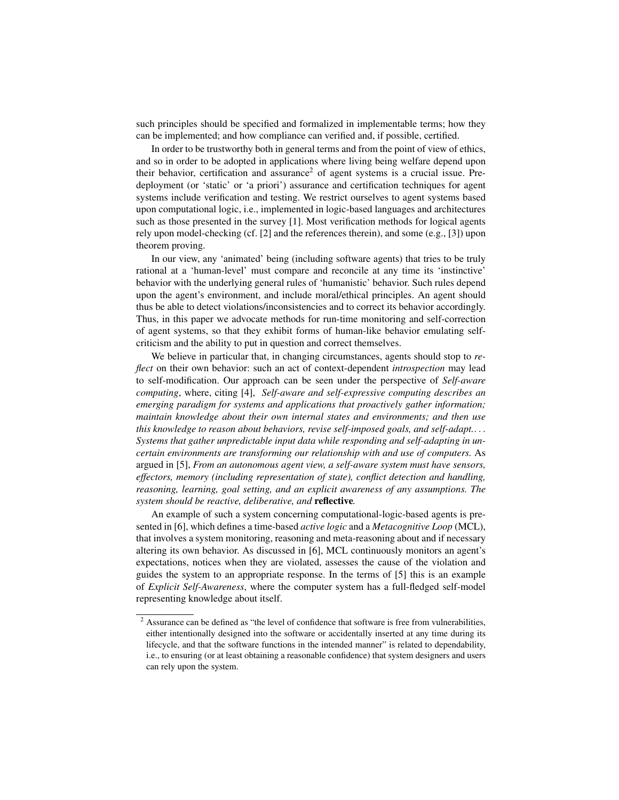such principles should be specified and formalized in implementable terms; how they can be implemented; and how compliance can verified and, if possible, certified.

In order to be trustworthy both in general terms and from the point of view of ethics, and so in order to be adopted in applications where living being welfare depend upon their behavior, certification and assurance<sup>2</sup> of agent systems is a crucial issue. Predeployment (or 'static' or 'a priori') assurance and certification techniques for agent systems include verification and testing. We restrict ourselves to agent systems based upon computational logic, i.e., implemented in logic-based languages and architectures such as those presented in the survey [1]. Most verification methods for logical agents rely upon model-checking (cf. [2] and the references therein), and some (e.g., [3]) upon theorem proving.

In our view, any 'animated' being (including software agents) that tries to be truly rational at a 'human-level' must compare and reconcile at any time its 'instinctive' behavior with the underlying general rules of 'humanistic' behavior. Such rules depend upon the agent's environment, and include moral/ethical principles. An agent should thus be able to detect violations/inconsistencies and to correct its behavior accordingly. Thus, in this paper we advocate methods for run-time monitoring and self-correction of agent systems, so that they exhibit forms of human-like behavior emulating selfcriticism and the ability to put in question and correct themselves.

We believe in particular that, in changing circumstances, agents should stop to *reflect* on their own behavior: such an act of context-dependent *introspection* may lead to self-modification. Our approach can be seen under the perspective of *Self-aware computing*, where, citing [4], *Self-aware and self-expressive computing describes an emerging paradigm for systems and applications that proactively gather information; maintain knowledge about their own internal states and environments; and then use this knowledge to reason about behaviors, revise self-imposed goals, and self-adapt.*. . . *Systems that gather unpredictable input data while responding and self-adapting in uncertain environments are transforming our relationship with and use of computers.* As argued in [5], *From an autonomous agent view, a self-aware system must have sensors, effectors, memory (including representation of state), conflict detection and handling, reasoning, learning, goal setting, and an explicit awareness of any assumptions. The system should be reactive, deliberative, and* reflective*.*

An example of such a system concerning computational-logic-based agents is presented in [6], which defines a time-based *active logic* and a *Metacognitive Loop* (MCL), that involves a system monitoring, reasoning and meta-reasoning about and if necessary altering its own behavior. As discussed in [6], MCL continuously monitors an agent's expectations, notices when they are violated, assesses the cause of the violation and guides the system to an appropriate response. In the terms of [5] this is an example of *Explicit Self-Awareness*, where the computer system has a full-fledged self-model representing knowledge about itself.

<sup>&</sup>lt;sup>2</sup> Assurance can be defined as "the level of confidence that software is free from vulnerabilities, either intentionally designed into the software or accidentally inserted at any time during its lifecycle, and that the software functions in the intended manner" is related to dependability, i.e., to ensuring (or at least obtaining a reasonable confidence) that system designers and users can rely upon the system.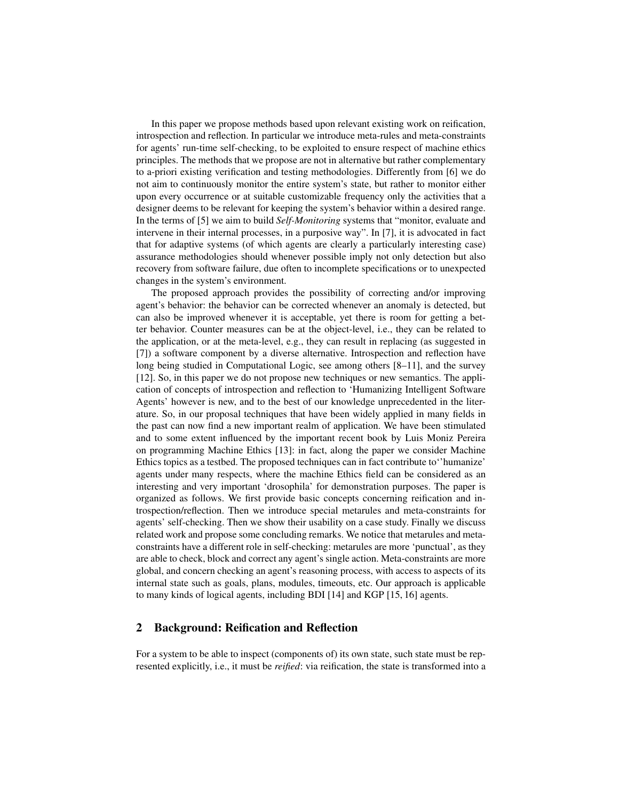In this paper we propose methods based upon relevant existing work on reification, introspection and reflection. In particular we introduce meta-rules and meta-constraints for agents' run-time self-checking, to be exploited to ensure respect of machine ethics principles. The methods that we propose are not in alternative but rather complementary to a-priori existing verification and testing methodologies. Differently from [6] we do not aim to continuously monitor the entire system's state, but rather to monitor either upon every occurrence or at suitable customizable frequency only the activities that a designer deems to be relevant for keeping the system's behavior within a desired range. In the terms of [5] we aim to build *Self-Monitoring* systems that "monitor, evaluate and intervene in their internal processes, in a purposive way". In [7], it is advocated in fact that for adaptive systems (of which agents are clearly a particularly interesting case) assurance methodologies should whenever possible imply not only detection but also recovery from software failure, due often to incomplete specifications or to unexpected changes in the system's environment.

The proposed approach provides the possibility of correcting and/or improving agent's behavior: the behavior can be corrected whenever an anomaly is detected, but can also be improved whenever it is acceptable, yet there is room for getting a better behavior. Counter measures can be at the object-level, i.e., they can be related to the application, or at the meta-level, e.g., they can result in replacing (as suggested in [7]) a software component by a diverse alternative. Introspection and reflection have long being studied in Computational Logic, see among others [8–11], and the survey [12]. So, in this paper we do not propose new techniques or new semantics. The application of concepts of introspection and reflection to 'Humanizing Intelligent Software Agents' however is new, and to the best of our knowledge unprecedented in the literature. So, in our proposal techniques that have been widely applied in many fields in the past can now find a new important realm of application. We have been stimulated and to some extent influenced by the important recent book by Luis Moniz Pereira on programming Machine Ethics [13]: in fact, along the paper we consider Machine Ethics topics as a testbed. The proposed techniques can in fact contribute to''humanize' agents under many respects, where the machine Ethics field can be considered as an interesting and very important 'drosophila' for demonstration purposes. The paper is organized as follows. We first provide basic concepts concerning reification and introspection/reflection. Then we introduce special metarules and meta-constraints for agents' self-checking. Then we show their usability on a case study. Finally we discuss related work and propose some concluding remarks. We notice that metarules and metaconstraints have a different role in self-checking: metarules are more 'punctual', as they are able to check, block and correct any agent's single action. Meta-constraints are more global, and concern checking an agent's reasoning process, with access to aspects of its internal state such as goals, plans, modules, timeouts, etc. Our approach is applicable to many kinds of logical agents, including BDI [14] and KGP [15, 16] agents.

## 2 Background: Reification and Reflection

For a system to be able to inspect (components of) its own state, such state must be represented explicitly, i.e., it must be *reified*: via reification, the state is transformed into a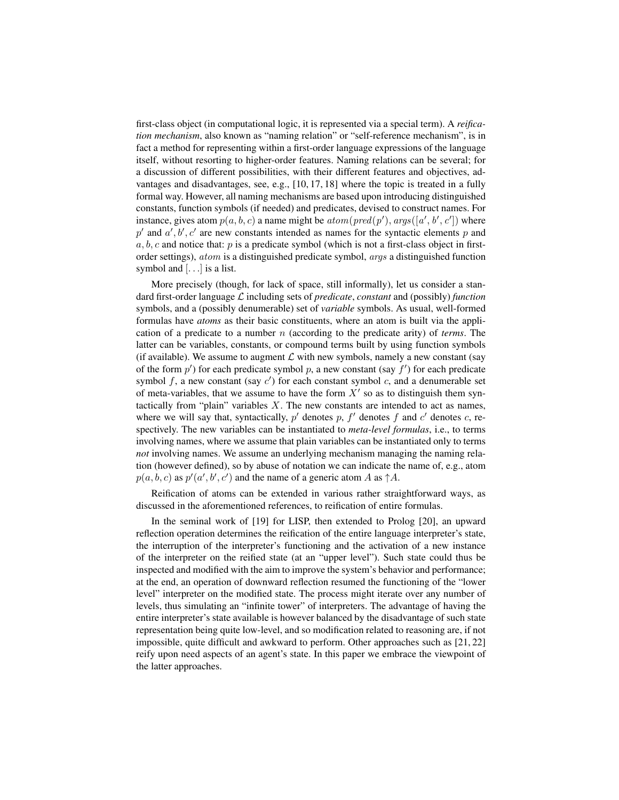first-class object (in computational logic, it is represented via a special term). A *reification mechanism*, also known as "naming relation" or "self-reference mechanism", is in fact a method for representing within a first-order language expressions of the language itself, without resorting to higher-order features. Naming relations can be several; for a discussion of different possibilities, with their different features and objectives, advantages and disadvantages, see, e.g., [10, 17, 18] where the topic is treated in a fully formal way. However, all naming mechanisms are based upon introducing distinguished constants, function symbols (if needed) and predicates, devised to construct names. For instance, gives atom  $p(a, b, c)$  a name might be  $atom(pred(p'), args([a', b', c'])$  where  $p'$  and  $a', b', c'$  are new constants intended as names for the syntactic elements p and  $a, b, c$  and notice that: p is a predicate symbol (which is not a first-class object in firstorder settings), atom is a distinguished predicate symbol, args a distinguished function symbol and  $[...]$  is a list.

More precisely (though, for lack of space, still informally), let us consider a standard first-order language L including sets of *predicate*, *constant* and (possibly) *function* symbols, and a (possibly denumerable) set of *variable* symbols. As usual, well-formed formulas have *atoms* as their basic constituents, where an atom is built via the application of a predicate to a number n (according to the predicate arity) of *terms*. The latter can be variables, constants, or compound terms built by using function symbols (if available). We assume to augment  $\mathcal L$  with new symbols, namely a new constant (say of the form  $p'$ ) for each predicate symbol p, a new constant (say  $f'$ ) for each predicate symbol  $f$ , a new constant (say  $c'$ ) for each constant symbol  $c$ , and a denumerable set of meta-variables, that we assume to have the form  $X'$  so as to distinguish them syntactically from "plain" variables  $X$ . The new constants are intended to act as names, where we will say that, syntactically,  $p'$  denotes  $p$ ,  $f'$  denotes  $f$  and  $c'$  denotes  $c$ , respectively. The new variables can be instantiated to *meta-level formulas*, i.e., to terms involving names, where we assume that plain variables can be instantiated only to terms *not* involving names. We assume an underlying mechanism managing the naming relation (however defined), so by abuse of notation we can indicate the name of, e.g., atom  $p(a, b, c)$  as  $p'(a', b', c')$  and the name of a generic atom A as  $\uparrow A$ .

Reification of atoms can be extended in various rather straightforward ways, as discussed in the aforementioned references, to reification of entire formulas.

In the seminal work of [19] for LISP, then extended to Prolog [20], an upward reflection operation determines the reification of the entire language interpreter's state, the interruption of the interpreter's functioning and the activation of a new instance of the interpreter on the reified state (at an "upper level"). Such state could thus be inspected and modified with the aim to improve the system's behavior and performance; at the end, an operation of downward reflection resumed the functioning of the "lower level" interpreter on the modified state. The process might iterate over any number of levels, thus simulating an "infinite tower" of interpreters. The advantage of having the entire interpreter's state available is however balanced by the disadvantage of such state representation being quite low-level, and so modification related to reasoning are, if not impossible, quite difficult and awkward to perform. Other approaches such as [21, 22] reify upon need aspects of an agent's state. In this paper we embrace the viewpoint of the latter approaches.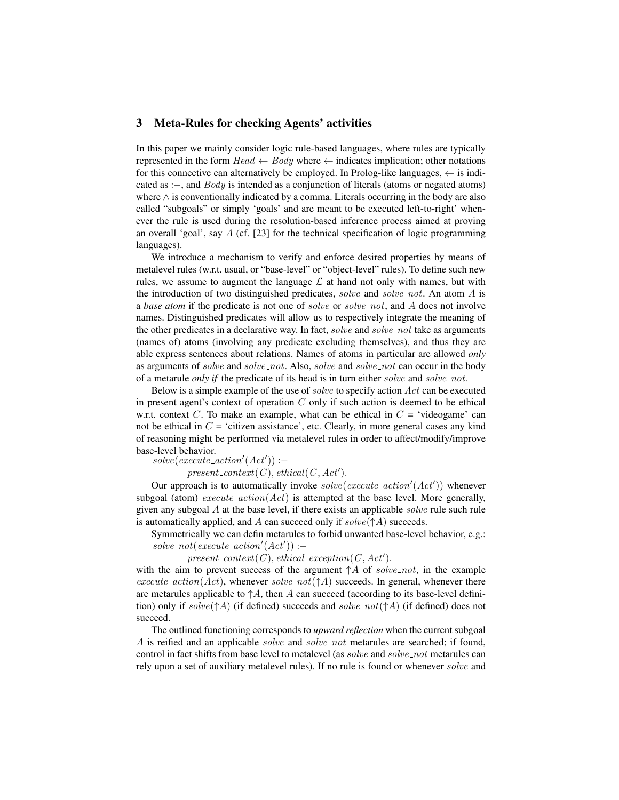#### 3 Meta-Rules for checking Agents' activities

In this paper we mainly consider logic rule-based languages, where rules are typically represented in the form  $Head \leftarrow Body$  where  $\leftarrow$  indicates implication; other notations for this connective can alternatively be employed. In Prolog-like languages,  $\leftarrow$  is indicated as : $\text{-}$ , and *Body* is intended as a conjunction of literals (atoms or negated atoms) where ∧ is conventionally indicated by a comma. Literals occurring in the body are also called "subgoals" or simply 'goals' and are meant to be executed left-to-right' whenever the rule is used during the resolution-based inference process aimed at proving an overall 'goal', say A (cf. [23] for the technical specification of logic programming languages).

We introduce a mechanism to verify and enforce desired properties by means of metalevel rules (w.r.t. usual, or "base-level" or "object-level" rules). To define such new rules, we assume to augment the language  $\mathcal L$  at hand not only with names, but with the introduction of two distinguished predicates, solve and solve not. An atom  $A$  is a *base atom* if the predicate is not one of *solve* or *solve\_not*, and A does not involve names. Distinguished predicates will allow us to respectively integrate the meaning of the other predicates in a declarative way. In fact, solve and solve not take as arguments (names of) atoms (involving any predicate excluding themselves), and thus they are able express sentences about relations. Names of atoms in particular are allowed *only* as arguments of solve and solve\_not. Also, solve and solve\_not can occur in the body of a metarule *only if* the predicate of its head is in turn either *solve* and *solve* not.

Below is a simple example of the use of solve to specify action Act can be executed in present agent's context of operation  $C$  only if such action is deemed to be ethical w.r.t. context C. To make an example, what can be ethical in  $C = 'video game'$  can not be ethical in  $C = 'c$ itizen assistance', etc. Clearly, in more general cases any kind of reasoning might be performed via metalevel rules in order to affect/modify/improve base-level behavior.

 $solve(execute\_action'(Act')) :=$ 

 $present\_context(C), ethical(C, Act').$ 

Our approach is to automatically invoke  $solve(execute\_action'(Act'))$  whenever subgoal (atom) execute  $\alpha(t)$  is attempted at the base level. More generally, given any subgoal  $A$  at the base level, if there exists an applicable *solve* rule such rule is automatically applied, and A can succeed only if  $solve(\uparrow A)$  succeeds.

Symmetrically we can defin metarules to forbid unwanted base-level behavior, e.g.:  $solve\_not(execute\_action'(Act')) :=$ 

## $present\_context(C), ethical\_exception(C, Act').$

with the aim to prevent success of the argument  $\uparrow A$  of solve not, in the example  $execute\_action(Act)$ , whenever  $solve\_not(\uparrow A)$  succeeds. In general, whenever there are metarules applicable to  $\uparrow A$ , then A can succeed (according to its base-level definition) only if  $solve(\uparrow A)$  (if defined) succeeds and  $solve\_not(\uparrow A)$  (if defined) does not succeed.

The outlined functioning corresponds to *upward reflection* when the current subgoal A is reified and an applicable *solve* and *solve\_not* metarules are searched; if found, control in fact shifts from base level to metalevel (as  $solve$  and  $solve\_not$  metarules can rely upon a set of auxiliary metalevel rules). If no rule is found or whenever solve and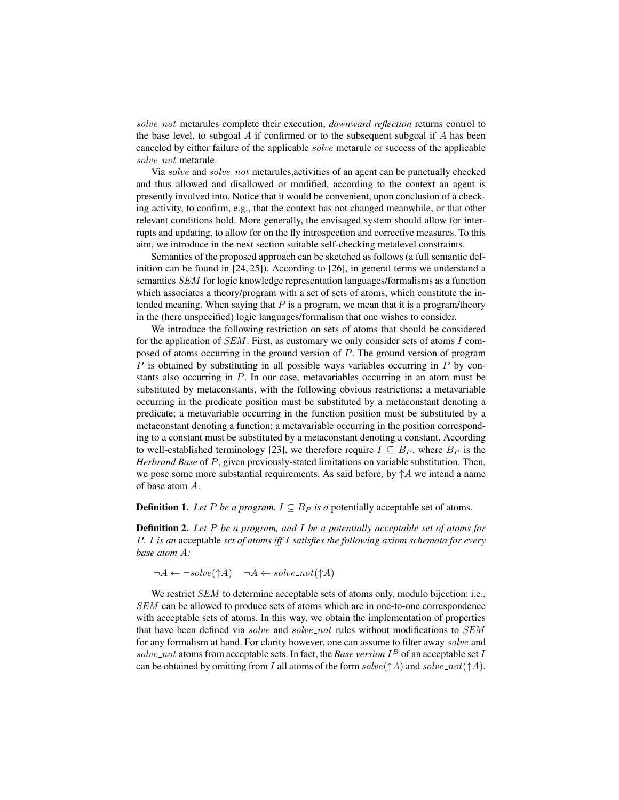solve not metarules complete their execution, *downward reflection* returns control to the base level, to subgoal  $A$  if confirmed or to the subsequent subgoal if  $A$  has been canceled by either failure of the applicable solve metarule or success of the applicable solve\_not metarule.

Via solve and solve not metarules,activities of an agent can be punctually checked and thus allowed and disallowed or modified, according to the context an agent is presently involved into. Notice that it would be convenient, upon conclusion of a checking activity, to confirm, e.g., that the context has not changed meanwhile, or that other relevant conditions hold. More generally, the envisaged system should allow for interrupts and updating, to allow for on the fly introspection and corrective measures. To this aim, we introduce in the next section suitable self-checking metalevel constraints.

Semantics of the proposed approach can be sketched as follows (a full semantic definition can be found in [24, 25]). According to [26], in general terms we understand a semantics SEM for logic knowledge representation languages/formalisms as a function which associates a theory/program with a set of sets of atoms, which constitute the intended meaning. When saying that  $P$  is a program, we mean that it is a program/theory in the (here unspecified) logic languages/formalism that one wishes to consider.

We introduce the following restriction on sets of atoms that should be considered for the application of  $SEM$ . First, as customary we only consider sets of atoms I composed of atoms occurring in the ground version of P. The ground version of program  $P$  is obtained by substituting in all possible ways variables occurring in  $P$  by constants also occurring in P. In our case, metavariables occurring in an atom must be substituted by metaconstants, with the following obvious restrictions: a metavariable occurring in the predicate position must be substituted by a metaconstant denoting a predicate; a metavariable occurring in the function position must be substituted by a metaconstant denoting a function; a metavariable occurring in the position corresponding to a constant must be substituted by a metaconstant denoting a constant. According to well-established terminology [23], we therefore require  $I \subseteq B_P$ , where  $B_P$  is the *Herbrand Base* of P, given previously-stated limitations on variable substitution. Then, we pose some more substantial requirements. As said before, by  $\uparrow A$  we intend a name of base atom A.

**Definition 1.** Let P be a program.  $I \subseteq B_P$  is a potentially acceptable set of atoms.

Definition 2. *Let* P *be a program, and* I *be a potentially acceptable set of atoms for* P*.* I *is an* acceptable *set of atoms iff* I *satisfies the following axiom schemata for every base atom* A*:*

 $\neg A \leftarrow \neg solve(\uparrow A)$   $\neg A \leftarrow solve\_not(\uparrow A)$ 

We restrict *SEM* to determine acceptable sets of atoms only, modulo bijection: i.e., SEM can be allowed to produce sets of atoms which are in one-to-one correspondence with acceptable sets of atoms. In this way, we obtain the implementation of properties that have been defined via solve and solve not rules without modifications to SEM for any formalism at hand. For clarity however, one can assume to filter away solve and  $solve\_not$  atoms from acceptable sets. In fact, the *Base version*  $I<sup>B</sup>$  of an acceptable set *I* can be obtained by omitting from I all atoms of the form  $solve(\uparrow A)$  and  $solve\_not(\uparrow A)$ .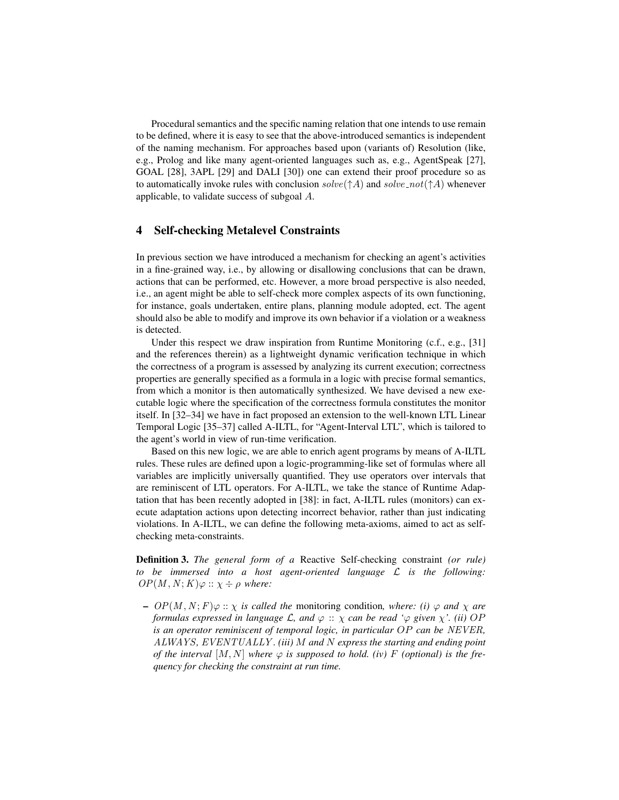Procedural semantics and the specific naming relation that one intends to use remain to be defined, where it is easy to see that the above-introduced semantics is independent of the naming mechanism. For approaches based upon (variants of) Resolution (like, e.g., Prolog and like many agent-oriented languages such as, e.g., AgentSpeak [27], GOAL [28], 3APL [29] and DALI [30]) one can extend their proof procedure so as to automatically invoke rules with conclusion  $solve(\uparrow A)$  and  $solve\_not(\uparrow A)$  whenever applicable, to validate success of subgoal A.

## 4 Self-checking Metalevel Constraints

In previous section we have introduced a mechanism for checking an agent's activities in a fine-grained way, i.e., by allowing or disallowing conclusions that can be drawn, actions that can be performed, etc. However, a more broad perspective is also needed, i.e., an agent might be able to self-check more complex aspects of its own functioning, for instance, goals undertaken, entire plans, planning module adopted, ect. The agent should also be able to modify and improve its own behavior if a violation or a weakness is detected.

Under this respect we draw inspiration from Runtime Monitoring (c.f., e.g., [31] and the references therein) as a lightweight dynamic verification technique in which the correctness of a program is assessed by analyzing its current execution; correctness properties are generally specified as a formula in a logic with precise formal semantics, from which a monitor is then automatically synthesized. We have devised a new executable logic where the specification of the correctness formula constitutes the monitor itself. In [32–34] we have in fact proposed an extension to the well-known LTL Linear Temporal Logic [35–37] called A-ILTL, for "Agent-Interval LTL", which is tailored to the agent's world in view of run-time verification.

Based on this new logic, we are able to enrich agent programs by means of A-ILTL rules. These rules are defined upon a logic-programming-like set of formulas where all variables are implicitly universally quantified. They use operators over intervals that are reminiscent of LTL operators. For A-ILTL, we take the stance of Runtime Adaptation that has been recently adopted in [38]: in fact, A-ILTL rules (monitors) can execute adaptation actions upon detecting incorrect behavior, rather than just indicating violations. In A-ILTL, we can define the following meta-axioms, aimed to act as selfchecking meta-constraints.

Definition 3. *The general form of a* Reactive Self-checking constraint *(or rule) to be immersed into a host agent-oriented language* L *is the following:*  $OP(M, N; K) \varphi :: \chi \div \rho$  where:

 $I - OP(M, N; F) \varphi :: \chi$  *is called the monitoring condition, where: (i)*  $\varphi$  *and*  $\chi$  *are formulas expressed in language*  $\mathcal{L}$ *, and*  $\varphi$  ::  $\chi$  *can be read '* $\varphi$  *given*  $\chi'$ *. (ii)* OP *is an operator reminiscent of temporal logic, in particular* OP *can be* NEVER*,* ALWAYS*,* EVENTUALLY *. (iii)* M *and* N *express the starting and ending point of the interval*  $[M, N]$  *where*  $\varphi$  *is supposed to hold. (iv)* F *(optional) is the frequency for checking the constraint at run time.*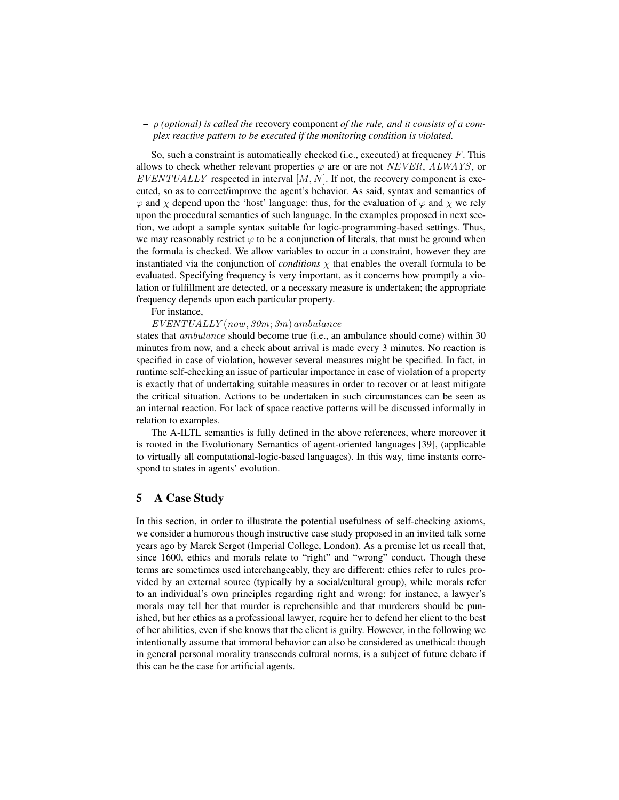#### – ρ *(optional) is called the* recovery component *of the rule, and it consists of a complex reactive pattern to be executed if the monitoring condition is violated.*

So, such a constraint is automatically checked (i.e., executed) at frequency  $F$ . This allows to check whether relevant properties  $\varphi$  are or are not *NEVER*, *ALWAYS*, or  $EVENTUALLY$  respected in interval  $[M, N]$ . If not, the recovery component is executed, so as to correct/improve the agent's behavior. As said, syntax and semantics of  $\varphi$  and  $\chi$  depend upon the 'host' language: thus, for the evaluation of  $\varphi$  and  $\chi$  we rely upon the procedural semantics of such language. In the examples proposed in next section, we adopt a sample syntax suitable for logic-programming-based settings. Thus, we may reasonably restrict  $\varphi$  to be a conjunction of literals, that must be ground when the formula is checked. We allow variables to occur in a constraint, however they are instantiated via the conjunction of *conditions*  $\chi$  that enables the overall formula to be evaluated. Specifying frequency is very important, as it concerns how promptly a violation or fulfillment are detected, or a necessary measure is undertaken; the appropriate frequency depends upon each particular property.

For instance,

 $EVENTUALLY (now, 30m; 3m)$  ambulance

states that *ambulance* should become true (i.e., an ambulance should come) within 30 minutes from now, and a check about arrival is made every 3 minutes. No reaction is specified in case of violation, however several measures might be specified. In fact, in runtime self-checking an issue of particular importance in case of violation of a property is exactly that of undertaking suitable measures in order to recover or at least mitigate the critical situation. Actions to be undertaken in such circumstances can be seen as an internal reaction. For lack of space reactive patterns will be discussed informally in relation to examples.

The A-ILTL semantics is fully defined in the above references, where moreover it is rooted in the Evolutionary Semantics of agent-oriented languages [39], (applicable to virtually all computational-logic-based languages). In this way, time instants correspond to states in agents' evolution.

#### 5 A Case Study

In this section, in order to illustrate the potential usefulness of self-checking axioms, we consider a humorous though instructive case study proposed in an invited talk some years ago by Marek Sergot (Imperial College, London). As a premise let us recall that, since 1600, ethics and morals relate to "right" and "wrong" conduct. Though these terms are sometimes used interchangeably, they are different: ethics refer to rules provided by an external source (typically by a social/cultural group), while morals refer to an individual's own principles regarding right and wrong: for instance, a lawyer's morals may tell her that murder is reprehensible and that murderers should be punished, but her ethics as a professional lawyer, require her to defend her client to the best of her abilities, even if she knows that the client is guilty. However, in the following we intentionally assume that immoral behavior can also be considered as unethical: though in general personal morality transcends cultural norms, is a subject of future debate if this can be the case for artificial agents.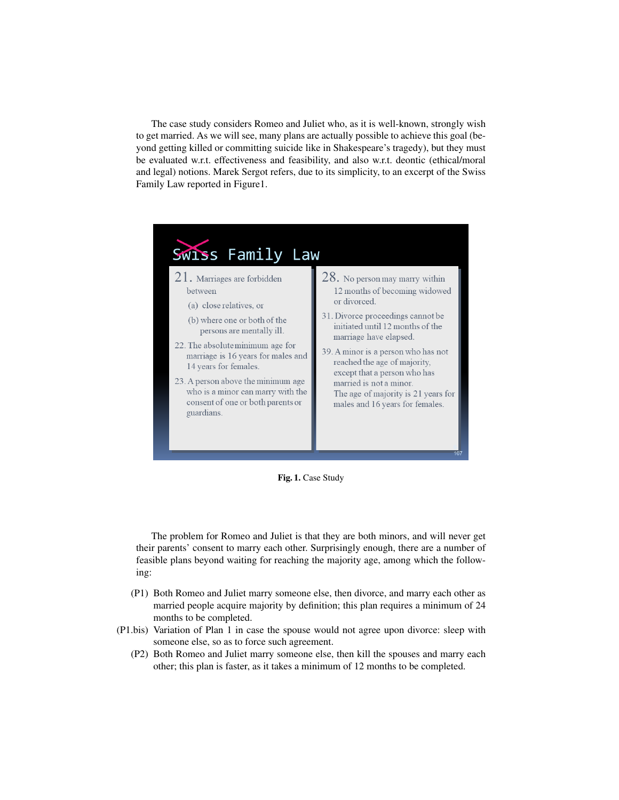The case study considers Romeo and Juliet who, as it is well-known, strongly wish to get married. As we will see, many plans are actually possible to achieve this goal (beyond getting killed or committing suicide like in Shakespeare's tragedy), but they must be evaluated w.r.t. effectiveness and feasibility, and also w.r.t. deontic (ethical/moral and legal) notions. Marek Sergot refers, due to its simplicity, to an excerpt of the Swiss Family Law reported in Figure1.



Fig. 1. Case Study

The problem for Romeo and Juliet is that they are both minors, and will never get their parents' consent to marry each other. Surprisingly enough, there are a number of feasible plans beyond waiting for reaching the majority age, among which the following:

- (P1) Both Romeo and Juliet marry someone else, then divorce, and marry each other as married people acquire majority by definition; this plan requires a minimum of 24 months to be completed.
- (P1.bis) Variation of Plan 1 in case the spouse would not agree upon divorce: sleep with someone else, so as to force such agreement.
	- (P2) Both Romeo and Juliet marry someone else, then kill the spouses and marry each other; this plan is faster, as it takes a minimum of 12 months to be completed.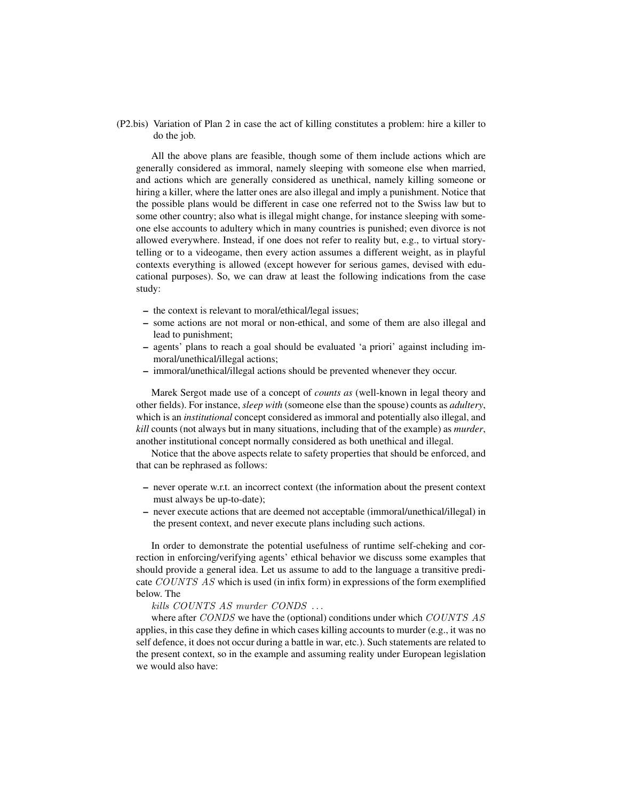(P2.bis) Variation of Plan 2 in case the act of killing constitutes a problem: hire a killer to do the job.

All the above plans are feasible, though some of them include actions which are generally considered as immoral, namely sleeping with someone else when married, and actions which are generally considered as unethical, namely killing someone or hiring a killer, where the latter ones are also illegal and imply a punishment. Notice that the possible plans would be different in case one referred not to the Swiss law but to some other country; also what is illegal might change, for instance sleeping with someone else accounts to adultery which in many countries is punished; even divorce is not allowed everywhere. Instead, if one does not refer to reality but, e.g., to virtual storytelling or to a videogame, then every action assumes a different weight, as in playful contexts everything is allowed (except however for serious games, devised with educational purposes). So, we can draw at least the following indications from the case study:

- the context is relevant to moral/ethical/legal issues;
- some actions are not moral or non-ethical, and some of them are also illegal and lead to punishment;
- agents' plans to reach a goal should be evaluated 'a priori' against including immoral/unethical/illegal actions;
- immoral/unethical/illegal actions should be prevented whenever they occur.

Marek Sergot made use of a concept of *counts as* (well-known in legal theory and other fields). For instance, *sleep with* (someone else than the spouse) counts as *adultery*, which is an *institutional* concept considered as immoral and potentially also illegal, and *kill* counts (not always but in many situations, including that of the example) as *murder*, another institutional concept normally considered as both unethical and illegal.

Notice that the above aspects relate to safety properties that should be enforced, and that can be rephrased as follows:

- never operate w.r.t. an incorrect context (the information about the present context must always be up-to-date);
- never execute actions that are deemed not acceptable (immoral/unethical/illegal) in the present context, and never execute plans including such actions.

In order to demonstrate the potential usefulness of runtime self-cheking and correction in enforcing/verifying agents' ethical behavior we discuss some examples that should provide a general idea. Let us assume to add to the language a transitive predicate COUNTS AS which is used (in infix form) in expressions of the form exemplified below. The

#### kills COUNTS AS murder CONDS . . .

where after CONDS we have the (optional) conditions under which COUNTS AS applies, in this case they define in which cases killing accounts to murder (e.g., it was no self defence, it does not occur during a battle in war, etc.). Such statements are related to the present context, so in the example and assuming reality under European legislation we would also have: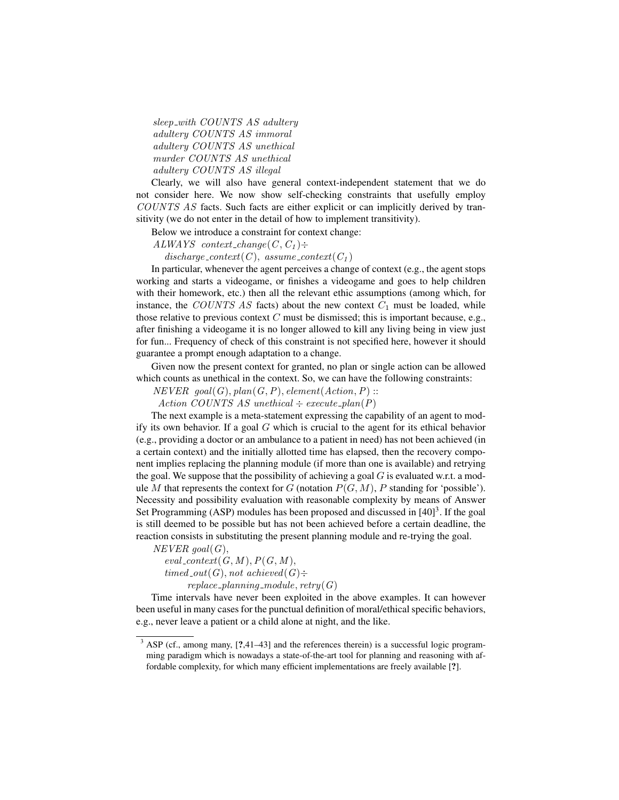sleep with COUNTS AS adultery adultery COUNTS AS immoral adultery COUNTS AS unethical murder COUNTS AS unethical adultery COUNTS AS illegal

Clearly, we will also have general context-independent statement that we do not consider here. We now show self-checking constraints that usefully employ COUNTS AS facts. Such facts are either explicit or can implicitly derived by transitivity (we do not enter in the detail of how to implement transitivity).

Below we introduce a constraint for context change:

ALWAYS context\_change $(C, C_1)$ :

discharge\_context(C), assume\_context( $C_1$ )

In particular, whenever the agent perceives a change of context (e.g., the agent stops working and starts a videogame, or finishes a videogame and goes to help children with their homework, etc.) then all the relevant ethic assumptions (among which, for instance, the COUNTS AS facts) about the new context  $C_1$  must be loaded, while those relative to previous context  $C$  must be dismissed; this is important because, e.g., after finishing a videogame it is no longer allowed to kill any living being in view just for fun... Frequency of check of this constraint is not specified here, however it should guarantee a prompt enough adaptation to a change.

Given now the present context for granted, no plan or single action can be allowed which counts as unethical in the context. So, we can have the following constraints:

 $NEVER\ goal(G), plan(G, P), element(Action, P)$ :

Action COUNTS AS unethical  $\div$  execute  $plan(P)$ 

The next example is a meta-statement expressing the capability of an agent to modify its own behavior. If a goal  $G$  which is crucial to the agent for its ethical behavior (e.g., providing a doctor or an ambulance to a patient in need) has not been achieved (in a certain context) and the initially allotted time has elapsed, then the recovery component implies replacing the planning module (if more than one is available) and retrying the goal. We suppose that the possibility of achieving a goal  $G$  is evaluated w.r.t. a module M that represents the context for G (notation  $P(G, M)$ , P standing for 'possible'). Necessity and possibility evaluation with reasonable complexity by means of Answer Set Programming (ASP) modules has been proposed and discussed in  $[40]$ <sup>3</sup>. If the goal is still deemed to be possible but has not been achieved before a certain deadline, the reaction consists in substituting the present planning module and re-trying the goal.

 $NEVER$  goal(G),

 $eval\_context(G, M), P(G, M),$  $timed\_out(G)$ , not achieved $(G)$ :  $replace\_planning\_module, retry(G)$ 

Time intervals have never been exploited in the above examples. It can however been useful in many cases for the punctual definition of moral/ethical specific behaviors, e.g., never leave a patient or a child alone at night, and the like.

<sup>&</sup>lt;sup>3</sup> ASP (cf., among many, [?,41-43] and the references therein) is a successful logic programming paradigm which is nowadays a state-of-the-art tool for planning and reasoning with affordable complexity, for which many efficient implementations are freely available [?].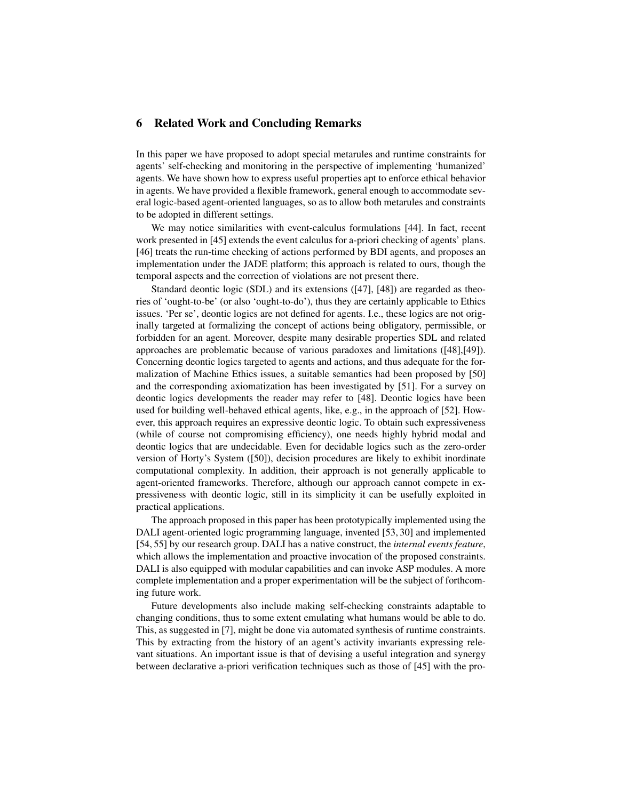## 6 Related Work and Concluding Remarks

In this paper we have proposed to adopt special metarules and runtime constraints for agents' self-checking and monitoring in the perspective of implementing 'humanized' agents. We have shown how to express useful properties apt to enforce ethical behavior in agents. We have provided a flexible framework, general enough to accommodate several logic-based agent-oriented languages, so as to allow both metarules and constraints to be adopted in different settings.

We may notice similarities with event-calculus formulations [44]. In fact, recent work presented in [45] extends the event calculus for a-priori checking of agents' plans. [46] treats the run-time checking of actions performed by BDI agents, and proposes an implementation under the JADE platform; this approach is related to ours, though the temporal aspects and the correction of violations are not present there.

Standard deontic logic (SDL) and its extensions ([47], [48]) are regarded as theories of 'ought-to-be' (or also 'ought-to-do'), thus they are certainly applicable to Ethics issues. 'Per se', deontic logics are not defined for agents. I.e., these logics are not originally targeted at formalizing the concept of actions being obligatory, permissible, or forbidden for an agent. Moreover, despite many desirable properties SDL and related approaches are problematic because of various paradoxes and limitations ([48],[49]). Concerning deontic logics targeted to agents and actions, and thus adequate for the formalization of Machine Ethics issues, a suitable semantics had been proposed by [50] and the corresponding axiomatization has been investigated by [51]. For a survey on deontic logics developments the reader may refer to [48]. Deontic logics have been used for building well-behaved ethical agents, like, e.g., in the approach of [52]. However, this approach requires an expressive deontic logic. To obtain such expressiveness (while of course not compromising efficiency), one needs highly hybrid modal and deontic logics that are undecidable. Even for decidable logics such as the zero-order version of Horty's System ([50]), decision procedures are likely to exhibit inordinate computational complexity. In addition, their approach is not generally applicable to agent-oriented frameworks. Therefore, although our approach cannot compete in expressiveness with deontic logic, still in its simplicity it can be usefully exploited in practical applications.

The approach proposed in this paper has been prototypically implemented using the DALI agent-oriented logic programming language, invented [53, 30] and implemented [54, 55] by our research group. DALI has a native construct, the *internal events feature*, which allows the implementation and proactive invocation of the proposed constraints. DALI is also equipped with modular capabilities and can invoke ASP modules. A more complete implementation and a proper experimentation will be the subject of forthcoming future work.

Future developments also include making self-checking constraints adaptable to changing conditions, thus to some extent emulating what humans would be able to do. This, as suggested in [7], might be done via automated synthesis of runtime constraints. This by extracting from the history of an agent's activity invariants expressing relevant situations. An important issue is that of devising a useful integration and synergy between declarative a-priori verification techniques such as those of [45] with the pro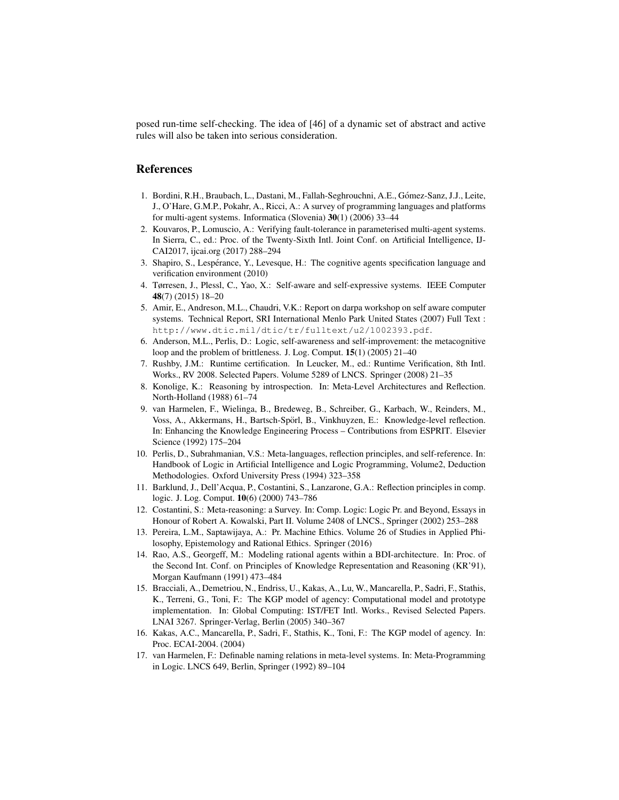posed run-time self-checking. The idea of [46] of a dynamic set of abstract and active rules will also be taken into serious consideration.

#### References

- 1. Bordini, R.H., Braubach, L., Dastani, M., Fallah-Seghrouchni, A.E., Gómez-Sanz, J.J., Leite, J., O'Hare, G.M.P., Pokahr, A., Ricci, A.: A survey of programming languages and platforms for multi-agent systems. Informatica (Slovenia) 30(1) (2006) 33–44
- 2. Kouvaros, P., Lomuscio, A.: Verifying fault-tolerance in parameterised multi-agent systems. In Sierra, C., ed.: Proc. of the Twenty-Sixth Intl. Joint Conf. on Artificial Intelligence, IJ-CAI2017, ijcai.org (2017) 288–294
- 3. Shapiro, S., Lesperance, Y., Levesque, H.: The cognitive agents specification language and ´ verification environment (2010)
- 4. Tørresen, J., Plessl, C., Yao, X.: Self-aware and self-expressive systems. IEEE Computer 48(7) (2015) 18–20
- 5. Amir, E., Andreson, M.L., Chaudri, V.K.: Report on darpa workshop on self aware computer systems. Technical Report, SRI International Menlo Park United States (2007) Full Text : http://www.dtic.mil/dtic/tr/fulltext/u2/1002393.pdf.
- 6. Anderson, M.L., Perlis, D.: Logic, self-awareness and self-improvement: the metacognitive loop and the problem of brittleness. J. Log. Comput. 15(1) (2005) 21–40
- 7. Rushby, J.M.: Runtime certification. In Leucker, M., ed.: Runtime Verification, 8th Intl. Works., RV 2008. Selected Papers. Volume 5289 of LNCS. Springer (2008) 21–35
- 8. Konolige, K.: Reasoning by introspection. In: Meta-Level Architectures and Reflection. North-Holland (1988) 61–74
- 9. van Harmelen, F., Wielinga, B., Bredeweg, B., Schreiber, G., Karbach, W., Reinders, M., Voss, A., Akkermans, H., Bartsch-Spörl, B., Vinkhuyzen, E.: Knowledge-level reflection. In: Enhancing the Knowledge Engineering Process – Contributions from ESPRIT. Elsevier Science (1992) 175–204
- 10. Perlis, D., Subrahmanian, V.S.: Meta-languages, reflection principles, and self-reference. In: Handbook of Logic in Artificial Intelligence and Logic Programming, Volume2, Deduction Methodologies. Oxford University Press (1994) 323–358
- 11. Barklund, J., Dell'Acqua, P., Costantini, S., Lanzarone, G.A.: Reflection principles in comp. logic. J. Log. Comput. 10(6) (2000) 743–786
- 12. Costantini, S.: Meta-reasoning: a Survey. In: Comp. Logic: Logic Pr. and Beyond, Essays in Honour of Robert A. Kowalski, Part II. Volume 2408 of LNCS., Springer (2002) 253–288
- 13. Pereira, L.M., Saptawijaya, A.: Pr. Machine Ethics. Volume 26 of Studies in Applied Philosophy, Epistemology and Rational Ethics. Springer (2016)
- 14. Rao, A.S., Georgeff, M.: Modeling rational agents within a BDI-architecture. In: Proc. of the Second Int. Conf. on Principles of Knowledge Representation and Reasoning (KR'91), Morgan Kaufmann (1991) 473–484
- 15. Bracciali, A., Demetriou, N., Endriss, U., Kakas, A., Lu, W., Mancarella, P., Sadri, F., Stathis, K., Terreni, G., Toni, F.: The KGP model of agency: Computational model and prototype implementation. In: Global Computing: IST/FET Intl. Works., Revised Selected Papers. LNAI 3267. Springer-Verlag, Berlin (2005) 340–367
- 16. Kakas, A.C., Mancarella, P., Sadri, F., Stathis, K., Toni, F.: The KGP model of agency. In: Proc. ECAI-2004. (2004)
- 17. van Harmelen, F.: Definable naming relations in meta-level systems. In: Meta-Programming in Logic. LNCS 649, Berlin, Springer (1992) 89–104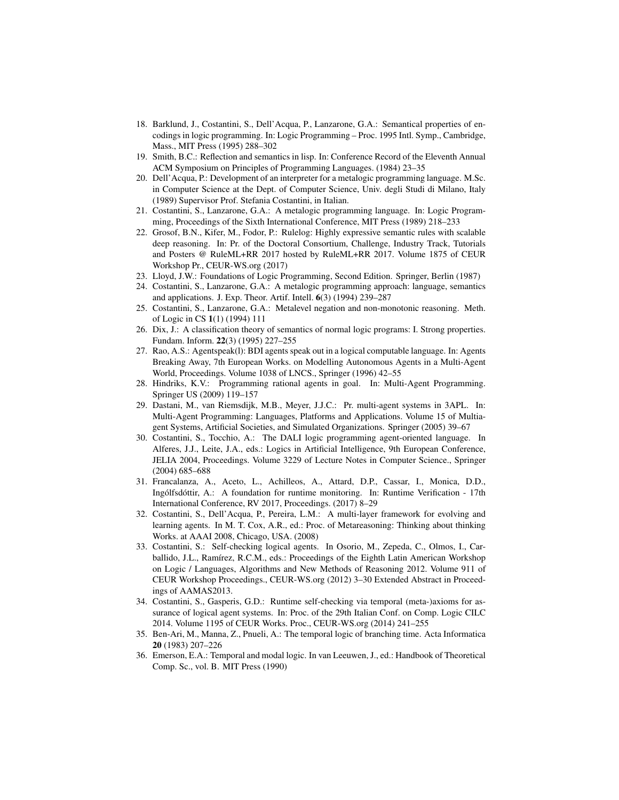- 18. Barklund, J., Costantini, S., Dell'Acqua, P., Lanzarone, G.A.: Semantical properties of encodings in logic programming. In: Logic Programming – Proc. 1995 Intl. Symp., Cambridge, Mass., MIT Press (1995) 288–302
- 19. Smith, B.C.: Reflection and semantics in lisp. In: Conference Record of the Eleventh Annual ACM Symposium on Principles of Programming Languages. (1984) 23–35
- 20. Dell'Acqua, P.: Development of an interpreter for a metalogic programming language. M.Sc. in Computer Science at the Dept. of Computer Science, Univ. degli Studi di Milano, Italy (1989) Supervisor Prof. Stefania Costantini, in Italian.
- 21. Costantini, S., Lanzarone, G.A.: A metalogic programming language. In: Logic Programming, Proceedings of the Sixth International Conference, MIT Press (1989) 218–233
- 22. Grosof, B.N., Kifer, M., Fodor, P.: Rulelog: Highly expressive semantic rules with scalable deep reasoning. In: Pr. of the Doctoral Consortium, Challenge, Industry Track, Tutorials and Posters @ RuleML+RR 2017 hosted by RuleML+RR 2017. Volume 1875 of CEUR Workshop Pr., CEUR-WS.org (2017)
- 23. Lloyd, J.W.: Foundations of Logic Programming, Second Edition. Springer, Berlin (1987)
- 24. Costantini, S., Lanzarone, G.A.: A metalogic programming approach: language, semantics and applications. J. Exp. Theor. Artif. Intell. 6(3) (1994) 239–287
- 25. Costantini, S., Lanzarone, G.A.: Metalevel negation and non-monotonic reasoning. Meth. of Logic in CS 1(1) (1994) 111
- 26. Dix, J.: A classification theory of semantics of normal logic programs: I. Strong properties. Fundam. Inform. 22(3) (1995) 227–255
- 27. Rao, A.S.: Agentspeak(l): BDI agents speak out in a logical computable language. In: Agents Breaking Away, 7th European Works. on Modelling Autonomous Agents in a Multi-Agent World, Proceedings. Volume 1038 of LNCS., Springer (1996) 42–55
- 28. Hindriks, K.V.: Programming rational agents in goal. In: Multi-Agent Programming. Springer US (2009) 119–157
- 29. Dastani, M., van Riemsdijk, M.B., Meyer, J.J.C.: Pr. multi-agent systems in 3APL. In: Multi-Agent Programming: Languages, Platforms and Applications. Volume 15 of Multiagent Systems, Artificial Societies, and Simulated Organizations. Springer (2005) 39–67
- 30. Costantini, S., Tocchio, A.: The DALI logic programming agent-oriented language. In Alferes, J.J., Leite, J.A., eds.: Logics in Artificial Intelligence, 9th European Conference, JELIA 2004, Proceedings. Volume 3229 of Lecture Notes in Computer Science., Springer (2004) 685–688
- 31. Francalanza, A., Aceto, L., Achilleos, A., Attard, D.P., Cassar, I., Monica, D.D., Ingólfsdóttir, A.: A foundation for runtime monitoring. In: Runtime Verification - 17th International Conference, RV 2017, Proceedings. (2017) 8–29
- 32. Costantini, S., Dell'Acqua, P., Pereira, L.M.: A multi-layer framework for evolving and learning agents. In M. T. Cox, A.R., ed.: Proc. of Metareasoning: Thinking about thinking Works. at AAAI 2008, Chicago, USA. (2008)
- 33. Costantini, S.: Self-checking logical agents. In Osorio, M., Zepeda, C., Olmos, I., Carballido, J.L., Ramírez, R.C.M., eds.: Proceedings of the Eighth Latin American Workshop on Logic / Languages, Algorithms and New Methods of Reasoning 2012. Volume 911 of CEUR Workshop Proceedings., CEUR-WS.org (2012) 3–30 Extended Abstract in Proceedings of AAMAS2013.
- 34. Costantini, S., Gasperis, G.D.: Runtime self-checking via temporal (meta-)axioms for assurance of logical agent systems. In: Proc. of the 29th Italian Conf. on Comp. Logic CILC 2014. Volume 1195 of CEUR Works. Proc., CEUR-WS.org (2014) 241–255
- 35. Ben-Ari, M., Manna, Z., Pnueli, A.: The temporal logic of branching time. Acta Informatica 20 (1983) 207–226
- 36. Emerson, E.A.: Temporal and modal logic. In van Leeuwen, J., ed.: Handbook of Theoretical Comp. Sc., vol. B. MIT Press (1990)